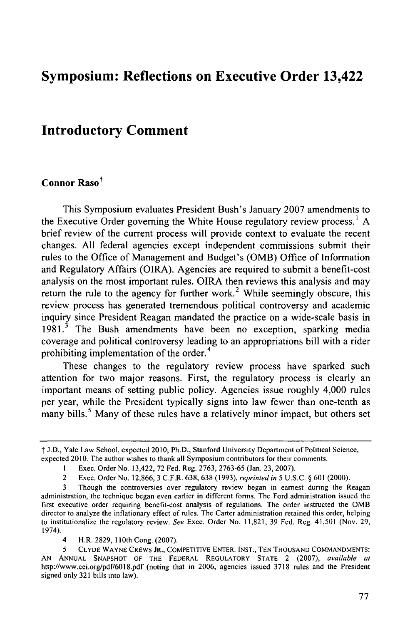# **Symposium: Reflections on Executive Order 13,422**

## **Introductory Comment**

### Connor Raso<sup>†</sup>

This Symposium evaluates President Bush's January **2007** amendments to the Executive Order governing the White House regulatory review process. 1 **A** brief review of the current process will provide context to evaluate the recent changes. **All** federal agencies except independent commissions submit their rules to the Office of Management and Budget's (OMB) Office of Information and Regulatory Affairs (OIRA). Agencies are required to submit a benefit-cost analysis on the most important rules. OIRA then reviews this analysis and may return the rule to the agency for further work.<sup>2</sup> While seemingly obscure, this review process has generated tremendous political controversy and academic inquiry since President Reagan mandated the practice on a wide-scale basis in **1981. <sup>3</sup>**The Bush amendments have been no exception, sparking media coverage and political controversy leading to an appropriations bill with a rider prohibiting implementation of the order.<sup>4</sup>

These changes to the regulatory review process have sparked such attention for two major reasons. First, the regulatory process is clearly an important means of setting public policy. Agencies issue roughly 4,000 rules per year, while the President typically signs into law fewer than one-tenth as many bills.<sup>5</sup> Many of these rules have a relatively minor impact, but others set

**SJ.D.,** Yale Law School, expected **2010;** Ph.D., Stanford University Department of Political Science, expected 2010. The author wishes to thank all Symposium contributors for their comments.

**I** Exec. Order No. 13,422, **72 Fed.** Reg. **2763, 2763-65** (Jan. **23, 2007).**

<sup>2</sup> Exec. Order No. **12,866,3** C.F.R. **638, 638 (1993),** reprinted *in* **5 U.S.C. § 601** (2000).

**<sup>3</sup>** Though the controversies over regulatory review began in earnest during the Reagan administration, the technique began even earlier in different forms. The Ford administration issued the first executive order requiring benefit-cost analysis of regulations. The order instructed the **OMB** director to analyze the inflationary effect of rules. The Carter administration retained this order, helping to institutionalize the regulatory review. See Exec. Order No. **11,821, 39** Fed. Reg. 41,501 (Nov. **29,** 1974).

<sup>4</sup> H.R. **2829,** 110th Cong. **(2007).**

<sup>5</sup> CLYDE WAYNE CREWS JR., COMPETITIVE ENTER. **INST.,** TEN THOUSAND COMMANDMENTS: AN ANNUAL SNAPSHOT OF THE FEDERAL REGULATORY STATE 2 (2007), available at http://www.cei.org/pdf/6018.pdf (noting that in 2006, agencies issued 3718 rules and the President signed only 321 bills into law).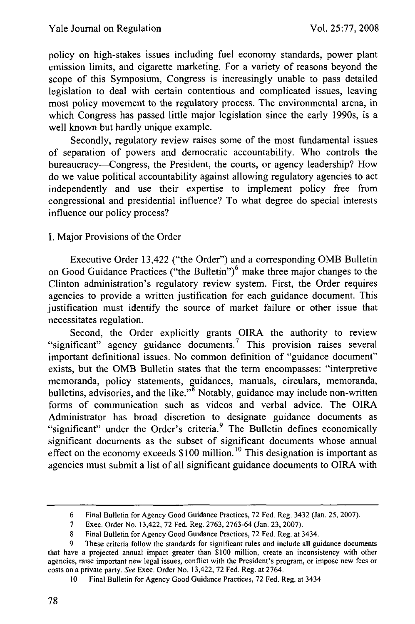policy on high-stakes issues including fuel economy standards, power plant emission limits, and cigarette marketing. For a variety of reasons beyond the scope of this Symposium, Congress is increasingly unable to pass detailed legislation to deal with certain contentious and complicated issues, leaving most policy movement to the regulatory process. The environmental arena, in which Congress has passed little major legislation since the early 1990s, is a well known but hardly unique example.

Secondly, regulatory review raises some of the most fundamental issues of separation of powers and democratic accountability. Who controls the bureaucracy--Congress, the President, the courts, or agency leadership? How do we value political accountability against allowing regulatory agencies to act independently and use their expertise to implement policy free from congressional and presidential influence? To what degree do special interests influence our policy process?

#### I. Major Provisions of the Order

Executive Order 13,422 ("the Order") and a corresponding OMB Bulletin on Good Guidance Practices ("the Bulletin")<sup>6</sup> make three major changes to the Clinton administration's regulatory review system. First, the Order requires agencies to provide a written justification for each guidance document. This justification must identify the source of market failure or other issue that necessitates regulation.

Second, the Order explicitly grants OIRA the authority to review "significant" agency guidance documents.<sup>7</sup> This provision raises several important definitional issues. No common definition of "guidance document" exists, but the OMB Bulletin states that the term encompasses: "interpretive memoranda, policy statements, guidances, manuals, circulars, memoranda, bulletins, advisories, and the like."<sup>8</sup> Notably, guidance may include non-written forms of communication such as videos and verbal advice. The OIRA Administrator has broad discretion to designate guidance documents as "significant" under the Order's criteria.<sup>9</sup> The Bulletin defines economically significant documents as the subset of significant documents whose annual effect on the economy exceeds \$100 million. **10** This designation is important as agencies must submit a list of all significant guidance documents to OIRA with

<sup>6</sup> Final Bulletin for Agency Good Guidance Practices, 72 Fed. Reg. 3432 (Jan. 25, 2007).

<sup>7</sup> Exec. Order No. 13,422, 72 Fed. Reg. 2763, 2763-64 (Jan. 23, 2007).

**<sup>8</sup>** Final Bulletin for Agency Good Guidance Practices, 72 Fed. Reg. at 3434.

These criteria follow the standards for significant rules and include all guidance documents that have a projected annual impact greater than \$100 million, create an inconsistency with other agencies, raise important new legal issues, conflict with the President's program, or impose new fees or costs on a private party. See Exec. Order No. 13,422, 72 Fed. Reg. at 2764.

<sup>10</sup> Final Bulletin for Agency Good Guidance Practices, 72 Fed. Reg. at 3434.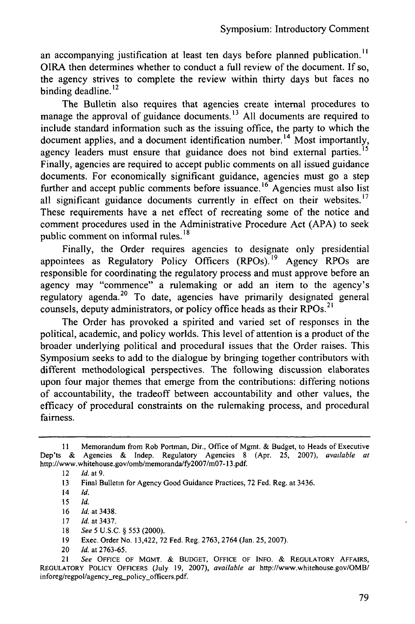an accompanying justification at least ten days before planned publication.<sup>11</sup> OIRA then determines whether to conduct a full review of the document. If so, the agency strives to complete the review within thirty days but faces no binding deadline. $^{12}$ 

The Bulletin also requires that agencies create internal procedures to manage the approval of guidance documents. **1 <sup>3</sup>**All documents are required to include standard information such as the issuing office, the party to which the document applies, and a document identification number.<sup>14</sup> Most importantly, agency leaders must ensure that guidance does not bind external parties.<sup>15</sup> Finally, agencies are required to accept public comments on all issued guidance documents. For economically significant guidance, agencies must go a step further and accept public comments before issuance. **16** Agencies must also list all significant guidance documents currently in effect on their websites.<sup>17</sup> These requirements have a net effect of recreating some of the notice and comment procedures used in the Administrative Procedure Act (APA) to seek public comment on informal rules.<sup>14</sup>

Finally, the Order requires agencies to designate only presidential appointees as Regulatory Policy Officers (RPOs).<sup>19</sup> Agency RPOs are responsible for coordinating the regulatory process and must approve before an agency may "commence" a rulemaking or add an item to the agency's regulatory agenda. 20 To date, agencies have primarily designated general counsels, deputy administrators, or policy office heads as their RPOs.<sup>21</sup>

The Order has provoked a spirited and varied set of responses in the political, academic, and policy worlds. This level of attention is a product of the broader underlying political and procedural issues that the Order raises. This Symposium seeks to add to the dialogue by bringing together contributors with different methodological perspectives. The following discussion elaborates upon four major themes that emerge from the contributions: differing notions of accountability, the tradeoff between accountability and other values, the efficacy of procedural constraints on the rulemaking process, and procedural fairness.

- 18 *See 5* U.S.C. § 553 (2000).
- 19 Exec. Order No. 13,422, 72 Fed. Reg. 2763, 2764 (Jan. **25,** 2007).
- 20 *Id.* at 2763-65.

21 *See* OFFICE OF MGMT. **& BUDGET, OFFICE** OF **INFO.** & **REGULATORY** AFFAIRS, REGULATORY POLICY OFFICERS (July 19, 2007), *available at* http://www.whitehouse.gov/OMB/ inforeg/regpol/agency-reg-policy officers.pdf.

**II** Memorandum from Rob Portman, Dir., Office of Mgmt. & Budget, to Heads of Executive Dep'ts & Agencies & Indep. Regulatory Agencies 8 (Apr. 25, 2007), available at http://www.whitehouse.gov/omb/memoranda/fy2007/m07-13.pdf.

<sup>12</sup> *Id.* **at9.**

**<sup>13</sup>** Final Bulletin for Agency Good Guidance Practices, 72 Fed. Reg. at 3436.

<sup>14</sup> **Id.**

**<sup>15</sup> Id.**

<sup>16</sup> **Id.** at 3438.

<sup>17</sup> *Id.* at 3437.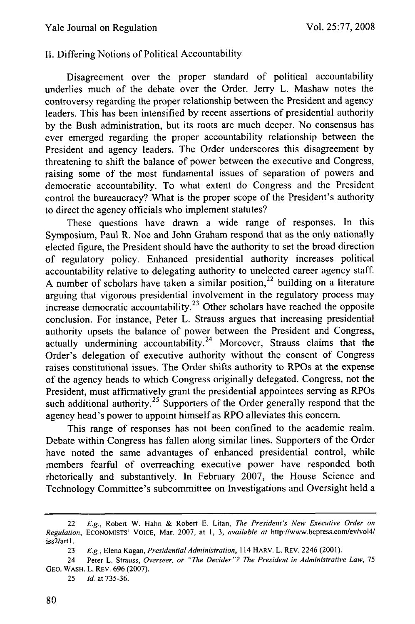#### II. Differing Notions of Political Accountability

Disagreement over the proper standard of political accountability underlies much of the debate over the Order. Jerry L. Mashaw notes the controversy regarding the proper relationship between the President and agency leaders. This has been intensified by recent assertions of presidential authority by the Bush administration, but its roots are much deeper. No consensus has ever emerged regarding the proper accountability relationship between the President and agency leaders. The Order underscores this disagreement by threatening to shift the balance of power between the executive and Congress, raising some of the most fundamental issues of separation of powers and democratic accountability. To what extent do Congress and the President control the bureaucracy? What is the proper scope of the President's authority to direct the agency officials who implement statutes?

These questions have drawn a wide range of responses. In this Symposium, Paul R. Noe and John Graham respond that as the only nationally elected figure, the President should have the authority to set the broad direction of regulatory policy. Enhanced presidential authority increases political accountability relative to delegating authority to unelected career agency staff. A number of scholars have taken a similar position,  $2^2$  building on a literature arguing that vigorous presidential involvement in the regulatory process may increase democratic accountability.<sup>23</sup> Other scholars have reached the opposite conclusion. For instance, Peter L. Strauss argues that increasing presidential authority upsets the balance of power between the President and Congress, actually undermining accountability.<sup>24</sup> Moreover, Strauss claims that the Order's delegation of executive authority without the consent of Congress raises constitutional issues. The Order shifts authority to RPOs at the expense of the agency heads to which Congress originally delegated. Congress, not the President, must affirmatively grant the presidential appointees serving as RPOs such additional authority.<sup>25</sup> Supporters of the Order generally respond that the agency head's power to appoint himself as RPO alleviates this concern.

This range of responses has not been confined to the academic realm. Debate within Congress has fallen along similar lines. Supporters of the Order have noted the same advantages of enhanced presidential control, while members fearful of overreaching executive power have responded both rhetorically and substantively. In February 2007, the House Science and Technology Committee's subcommittee on Investigations and Oversight held a

25 *Id.* at 735-36.

<sup>22</sup> *E.g.,* Robert W. Hahn & Robert E. Litan, *The President's New Executive Order on Regulation,* ECONOMISTS' **VOICE,** Mar. 2007, at 1, 3, *available at* http://www.bepress.com/ev/vol4/ iss2/artl.

<sup>23</sup> *E.g,* Elena Kagan, *Presidential Administration,* 114 HARV. L. REV. 2246 (2001).

<sup>24</sup> Peter L. Strauss, Overseer, or *"The Decider"? The President in Administrative Law,* 75 GEO. WASH. L. REV. 696 (2007).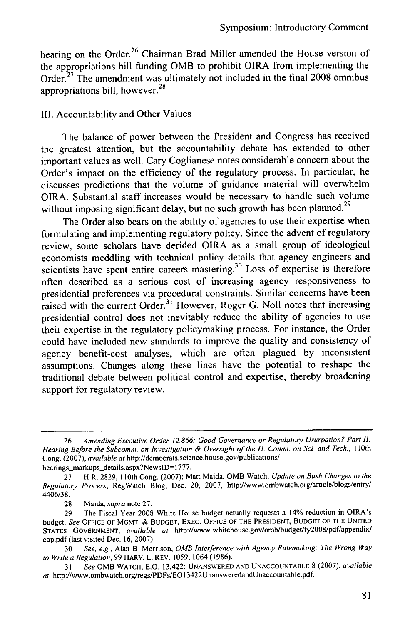hearing on the Order.<sup>26</sup> Chairman Brad Miller amended the House version of the appropriations bill funding OMB to prohibit OIRA from implementing the Order.<sup>27</sup> The amendment was ultimately not included in the final 2008 omnibus appropriations bill, however.<sup>28</sup>

#### III. Accountability and Other Values

The balance of power between the President and Congress has received the greatest attention, but the accountability debate has extended to other important values as well. Cary Coglianese notes considerable concern about the Order's impact on the efficiency of the regulatory process. In particular, he discusses predictions that the volume of guidance material will overwhelm OIRA. Substantial staff increases would be necessary to handle such volume without imposing significant delay, but no such growth has been planned.<sup>29</sup>

The Order also bears on the ability of agencies to use their expertise when formulating and implementing regulatory policy. Since the advent of regulatory review, some scholars have derided OIRA as a small group of ideological economists meddling with technical policy details that agency engineers and scientists have spent entire careers mastering.<sup>30</sup> Loss of expertise is therefore often described as a serious cost of increasing agency responsiveness to presidential preferences via procedural constraints. Similar concerns have been raised with the current Order.<sup>31</sup> However, Roger G. Noll notes that increasing presidential control does not inevitably reduce the ability of agencies to use their expertise in the regulatory policymaking process. For instance, the Order could have included new standards to improve the quality and consistency of agency benefit-cost analyses, which are often plagued by inconsistent assumptions. Changes along these lines have the potential to reshape the traditional debate between political control and expertise, thereby broadening support for regulatory review.

hearings\_markups\_details.aspx?NewsID=1777.

28 Maida, *supra* note 27.

<sup>26</sup> *Amending Executive Order 12,866: Good Governance or Regulatory Usurpation? Part I.* Hearing Before the Subcomm. on Investigation & Oversight of the H. Comm. on Sci and Tech., 110th Cong. (2007), *available at* http://democrats.science.house.gov/publications/

<sup>27</sup> H R. 2829, 110th Cong. (2007); Matt Maida, OMB Watch, *Update on Bush Changes to the Regulatory Process,* RegWatch Blog, Dec. 20, 2007, http://www.ombwatch.org/article/blogs/entry/ 4406/38.

<sup>29</sup> The Fiscal Year 2008 White House budget actually requests a 14% reduction in OIRA's budget. *See* **OFFICE** OF MGMT. & **BUDGET, EXEC. OFFICE** OF THE **PRESIDENT, BUDGET** OF THE **UNITED** STATES **GOVERNMENT,** *available at* http://www.whitehouse.gov/omb/budget/fy2008/pdf/appendix/ eop.pdf (last visited Dec. 16, 2007)

<sup>30</sup> *See, e.g.,* Alan B Morrison, *OMB Interference with Agency Rulemaking: The Wrong Way to Write a Regulation,* 99 HARV. L. REV. 1059, 1064 (1986).

<sup>31</sup>*See* OMB WATCH, E.O. 13,422: **UNANSWERED AND UNACCOUNTABLE** 8 (2007), *available at* http://www.ombwatch.org/regs/PDFs/EO13422UnansweredandUnaccountable.pdf.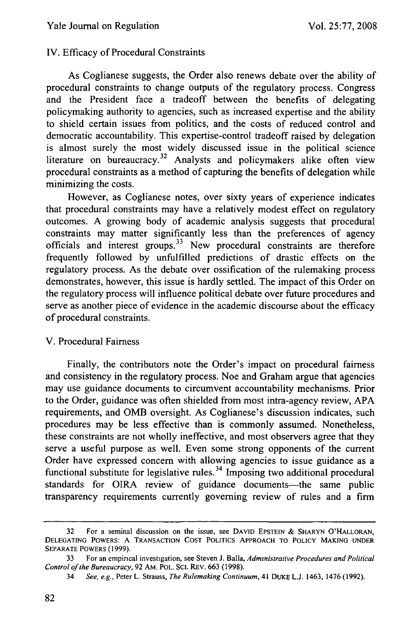#### IV. Efficacy of Procedural Constraints

As Coglianese suggests, the Order also renews debate over the ability of procedural constraints to change outputs of the regulatory process. Congress and the President face a tradeoff between the benefits of delegating policymaking authority to agencies, such as increased expertise and the ability to shield certain issues from politics, and the costs of reduced control and democratic accountability. This expertise-control tradeoff raised by delegation is almost surely the most widely discussed issue in the political science literature on bureaucracy.<sup>32</sup> Analysts and policymakers alike often view procedural constraints as a method of capturing the benefits of delegation while minimizing the costs.

However, as Coglianese notes, over sixty years of experience indicates that procedural constraints may have a relatively modest effect on regulatory outcomes. A growing body of academic analysis suggests that procedural constraints may matter significantly less than the preferences of agency officials and interest groups.<sup>33</sup> New procedural constraints are therefore frequently followed by unfulfilled predictions of drastic effects on the regulatory process. As the debate over ossification of the rulemaking process demonstrates, however, this issue is hardly settled. The impact of this Order on the regulatory process will influence political debate over future procedures and serve as another piece of evidence in the academic discourse about the efficacy of procedural constraints.

#### V. Procedural Fairness

Finally, the contributors note the Order's impact on procedural fairness and consistency in the regulatory process. Noe and Graham argue that agencies may use guidance documents to circumvent accountability mechanisms. Prior to the Order, guidance was often shielded from most intra-agency review, APA requirements, and OMB oversight. As Coglianese's discussion indicates, such procedures may be less effective than is commonly assumed. Nonetheless, these constraints are not wholly ineffective, and most observers agree that they serve a useful purpose as well. Even some strong opponents of the current Order have expressed concern with allowing agencies to issue guidance as a functional substitute for legislative rules. 34 Imposing two additional procedural standards for OIRA review of guidance documents-the same public transparency requirements currently governing review of rules and a firm

<sup>32</sup> For a seminal discussion on the issue, see **DAVID EPSTEIN** & SHARYN O'HALLORAN, **DELEGATING** POWERS: A TRANSACTION **COST** POLITICS APPROACH TO POLICY **MAKING UNDER** SEPARATE POWERS **(1999).**

<sup>33</sup> For an empincal investigation, see Steven J. Balla, *Administrative Procedures and Political Control of the Bureaucracy,* 92 AM. POL. SCI. REV. **663** (1998).

<sup>34</sup> *See, e.g.,* Peter L. Strauss, *The Rulemaking Continuum,* 41 DUKE L.J. 1463, 1476 (1992).